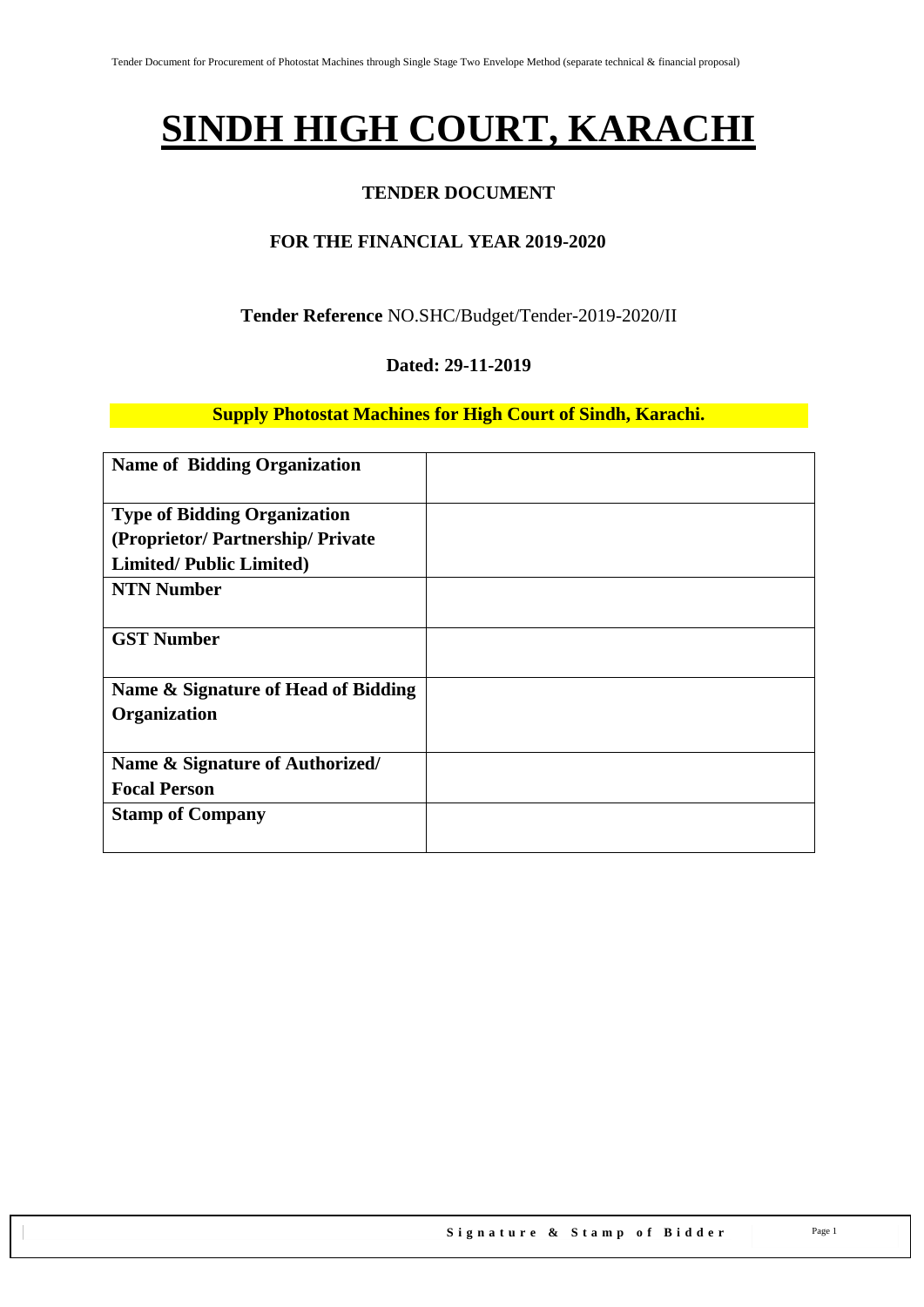# **SINDH HIGH COURT, KARACHI**

#### **TENDER DOCUMENT**

#### **FOR THE FINANCIAL YEAR 2019-2020**

#### **Tender Reference** NO.SHC/Budget/Tender-2019-2020/II

#### **Dated: 29-11-2019**

#### **Supply Photostat Machines for High Court of Sindh, Karachi.**

| <b>Name of Bidding Organization</b> |  |
|-------------------------------------|--|
| <b>Type of Bidding Organization</b> |  |
| (Proprietor/Partnership/Private     |  |
| <b>Limited/Public Limited)</b>      |  |
| <b>NTN Number</b>                   |  |
| <b>GST Number</b>                   |  |
| Name & Signature of Head of Bidding |  |
| Organization                        |  |
| Name & Signature of Authorized/     |  |
| <b>Focal Person</b>                 |  |
| <b>Stamp of Company</b>             |  |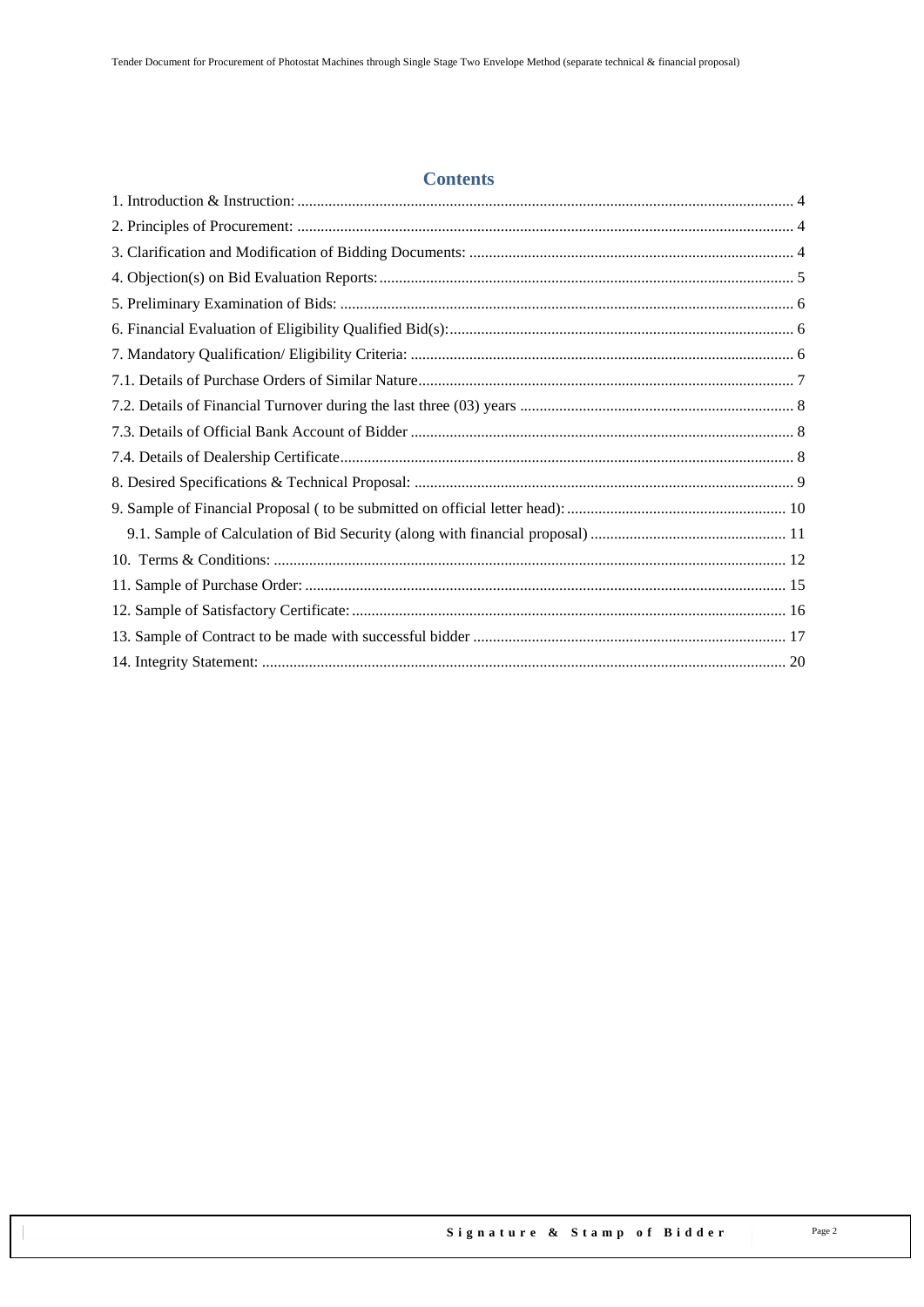#### **Contents**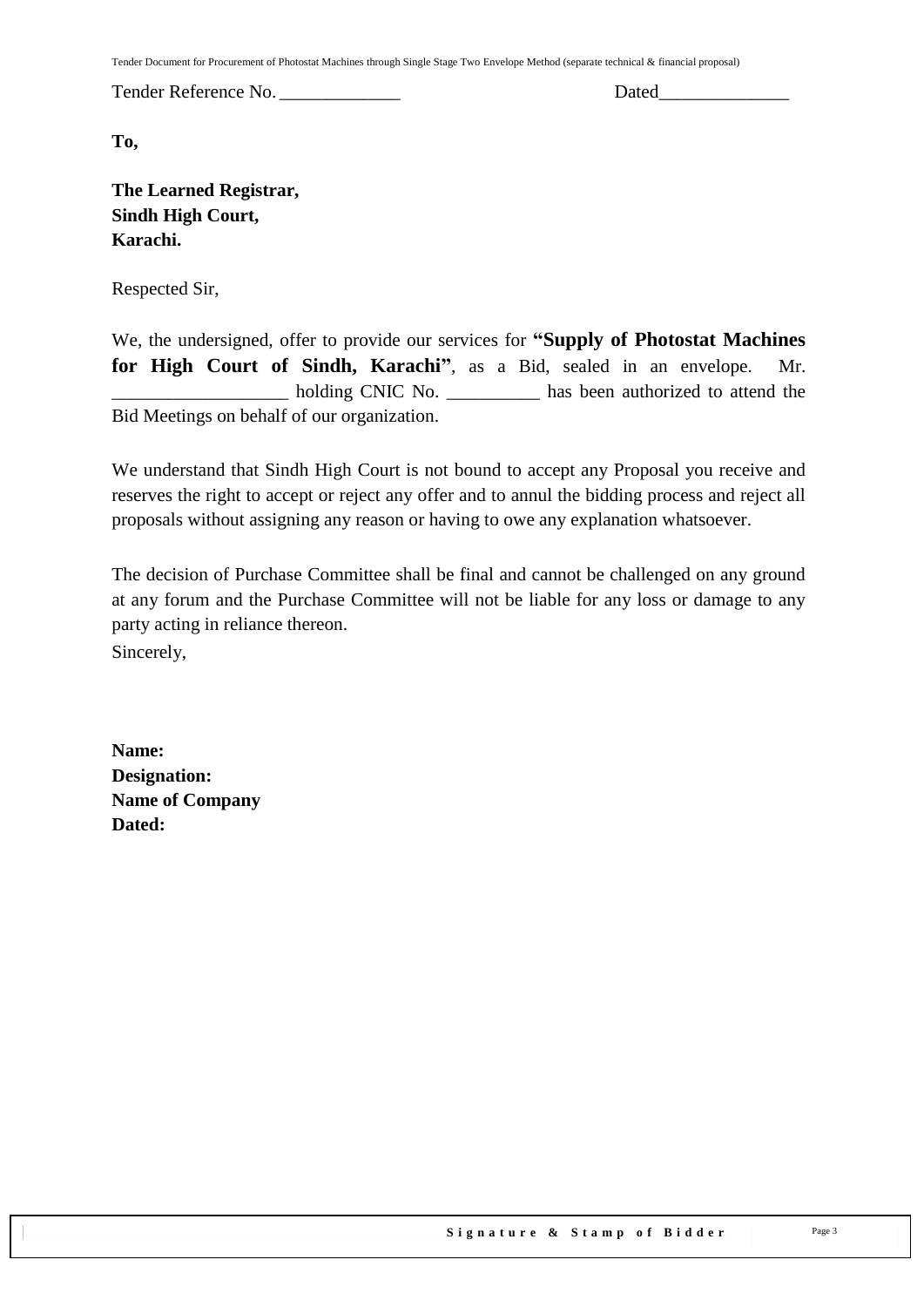Tender Document for Procurement of Photostat Machines through Single Stage Two Envelope Method (separate technical & financial proposal)

Tender Reference No. \_\_\_\_\_\_\_\_\_\_\_\_\_ Dated\_\_\_\_\_\_\_\_\_\_\_\_\_\_

**To,** 

**The Learned Registrar, Sindh High Court, Karachi.**

Respected Sir,

We, the undersigned, offer to provide our services for **"Supply of Photostat Machines for High Court of Sindh, Karachi"**, as a Bid, sealed in an envelope. Mr. \_\_\_\_\_\_\_\_\_\_\_\_\_\_\_\_\_\_\_ holding CNIC No. \_\_\_\_\_\_\_\_\_\_ has been authorized to attend the Bid Meetings on behalf of our organization.

We understand that Sindh High Court is not bound to accept any Proposal you receive and reserves the right to accept or reject any offer and to annul the bidding process and reject all proposals without assigning any reason or having to owe any explanation whatsoever.

The decision of Purchase Committee shall be final and cannot be challenged on any ground at any forum and the Purchase Committee will not be liable for any loss or damage to any party acting in reliance thereon. Sincerely,

**Name: Designation: Name of Company Dated:**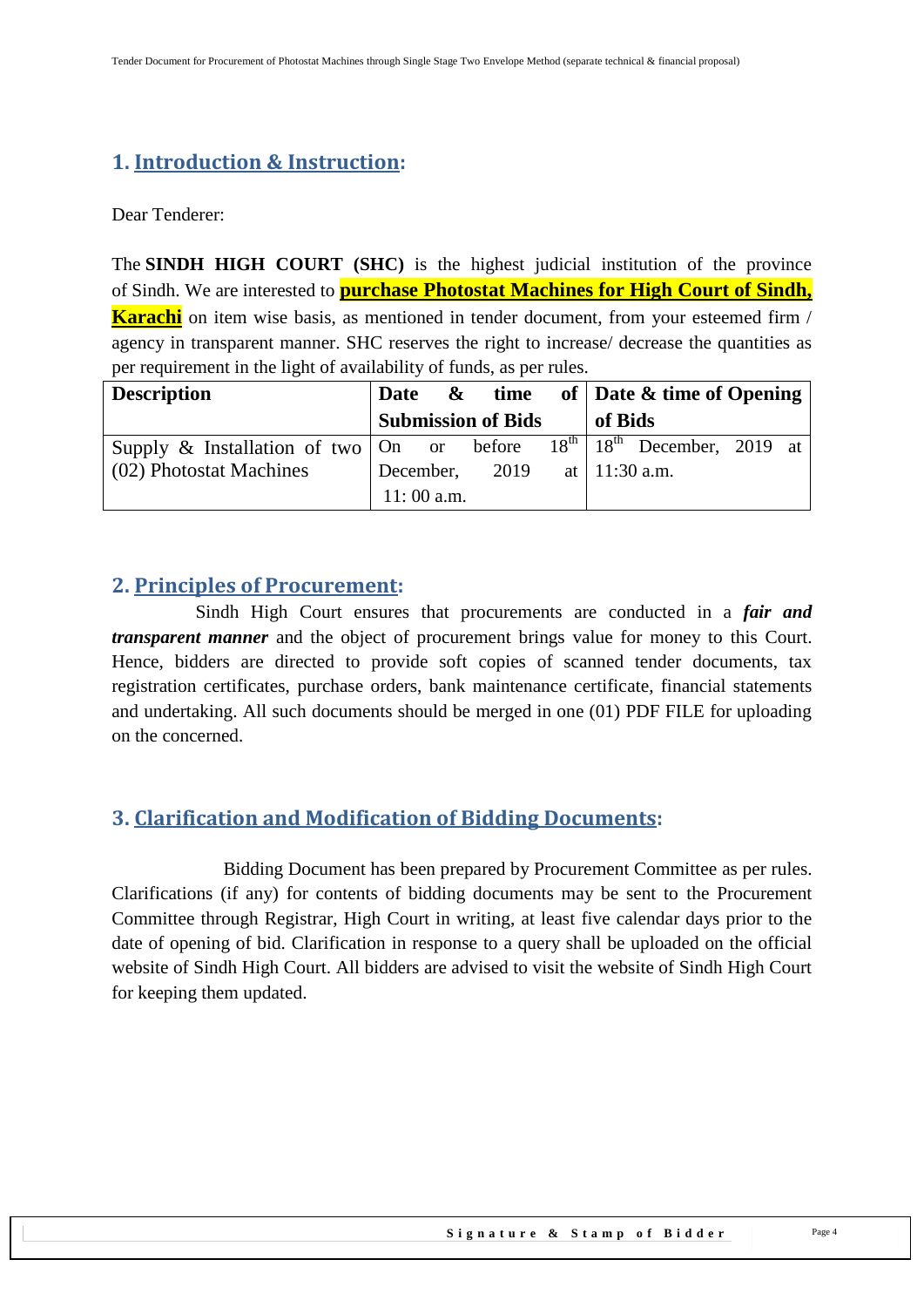## <span id="page-3-0"></span>**1. Introduction & Instruction:**

Dear Tenderer:

The **SINDH HIGH COURT (SHC)** is the highest judicial institution of the province of [Sindh.](https://en.wikipedia.org/wiki/Sindh) We are interested to **purchase Photostat Machines for High Court of Sindh, Karachi** on item wise basis, as mentioned in tender document, from your esteemed firm / agency in transparent manner. SHC reserves the right to increase/ decrease the quantities as per requirement in the light of availability of funds, as per rules.

| <b>Description</b>                                   | Date &       |                           |         | time of $\vert$ Date & time of Opening                           |  |
|------------------------------------------------------|--------------|---------------------------|---------|------------------------------------------------------------------|--|
|                                                      |              | <b>Submission of Bids</b> | of Bids |                                                                  |  |
| Supply $\&$ Installation of two $\vert$ On or before |              |                           |         | $\overline{18}^{\text{th}}$   $18^{\text{th}}$ December, 2019 at |  |
| (02) Photostat Machines                              | December,    | 2019                      |         | at   $11:30$ a.m.                                                |  |
|                                                      | $11:00$ a.m. |                           |         |                                                                  |  |

## <span id="page-3-1"></span>**2. Principles of Procurement:**

 Sindh High Court ensures that procurements are conducted in a *fair and transparent manner* and the object of procurement brings value for money to this Court. Hence, bidders are directed to provide soft copies of scanned tender documents, tax registration certificates, purchase orders, bank maintenance certificate, financial statements and undertaking. All such documents should be merged in one (01) PDF FILE for uploading on the concerned.

## <span id="page-3-2"></span>**3. Clarification and Modification of Bidding Documents:**

Bidding Document has been prepared by Procurement Committee as per rules. Clarifications (if any) for contents of bidding documents may be sent to the Procurement Committee through Registrar, High Court in writing, at least five calendar days prior to the date of opening of bid. Clarification in response to a query shall be uploaded on the official website of Sindh High Court. All bidders are advised to visit the website of Sindh High Court for keeping them updated.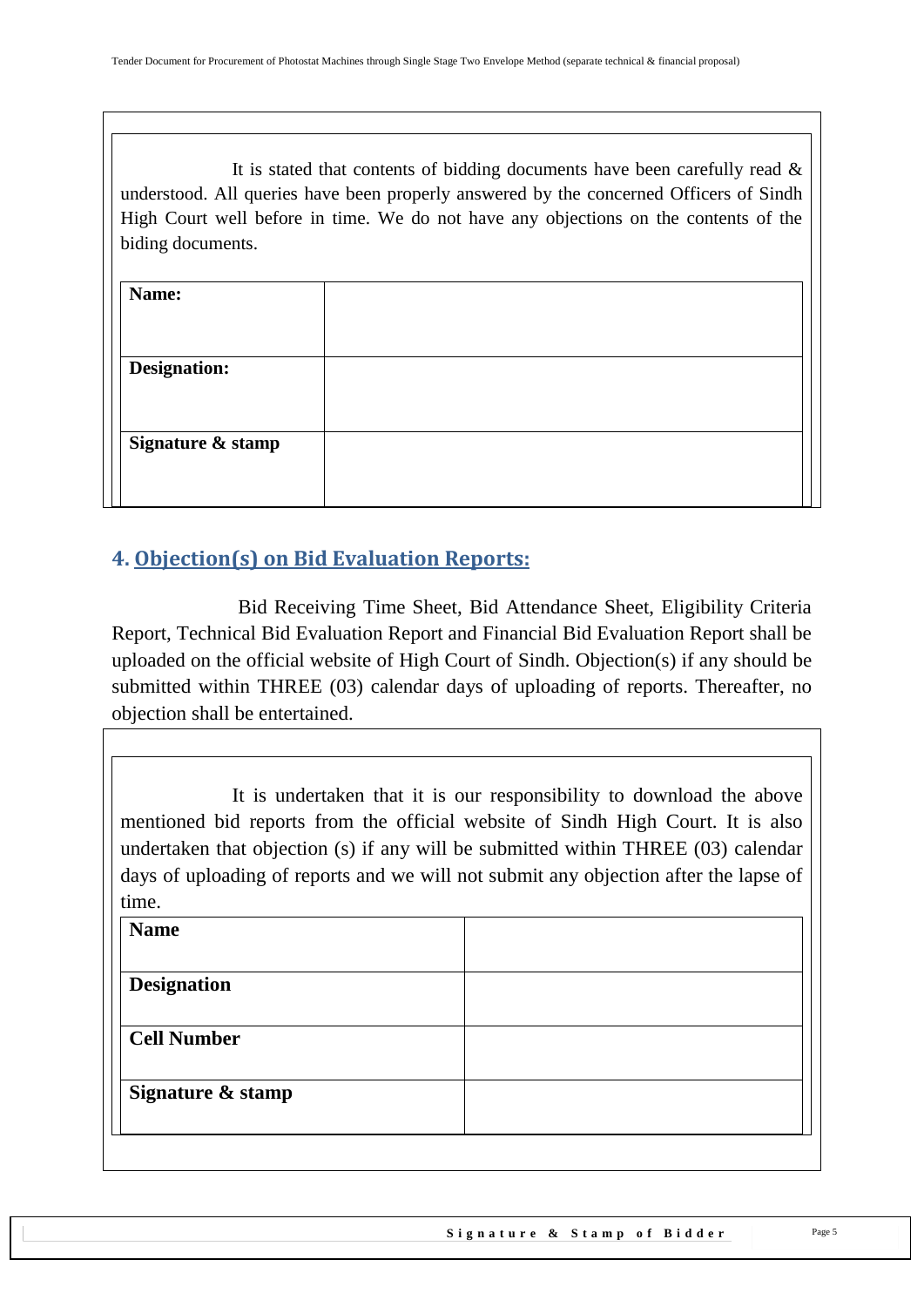It is stated that contents of bidding documents have been carefully read  $\&$ understood. All queries have been properly answered by the concerned Officers of Sindh High Court well before in time. We do not have any objections on the contents of the biding documents.

| Name:               |  |
|---------------------|--|
|                     |  |
| <b>Designation:</b> |  |
|                     |  |
| Signature & stamp   |  |
|                     |  |
|                     |  |

## <span id="page-4-0"></span>**4. Objection(s) on Bid Evaluation Reports:**

 Bid Receiving Time Sheet, Bid Attendance Sheet, Eligibility Criteria Report, Technical Bid Evaluation Report and Financial Bid Evaluation Report shall be uploaded on the official website of High Court of Sindh. Objection(s) if any should be submitted within THREE (03) calendar days of uploading of reports. Thereafter, no objection shall be entertained.

It is undertaken that it is our responsibility to download the above mentioned bid reports from the official website of Sindh High Court. It is also undertaken that objection (s) if any will be submitted within THREE (03) calendar days of uploading of reports and we will not submit any objection after the lapse of time.

| <b>Name</b>        |  |
|--------------------|--|
| <b>Designation</b> |  |
| <b>Cell Number</b> |  |
|                    |  |
| Signature & stamp  |  |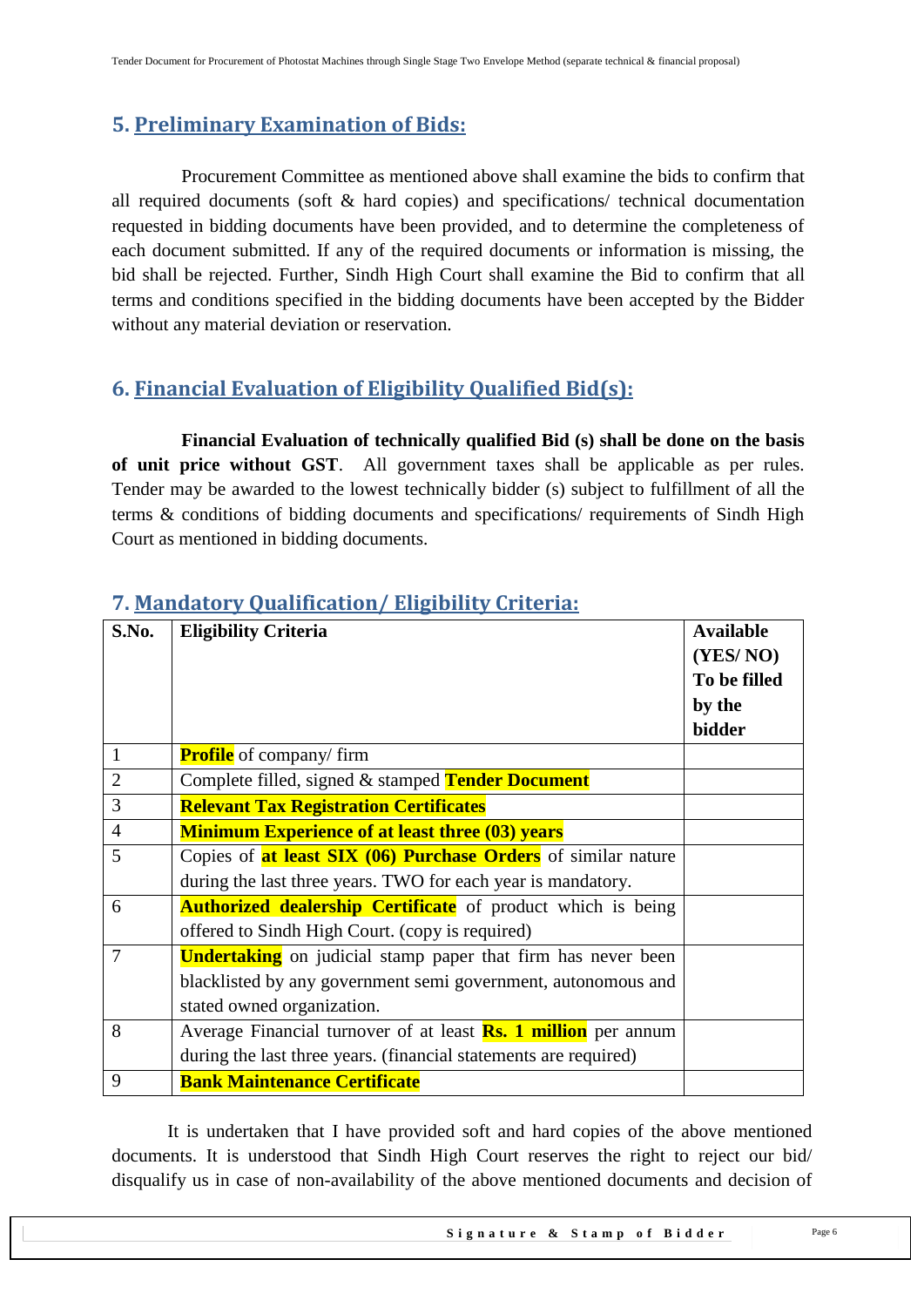## <span id="page-5-0"></span>**5. Preliminary Examination of Bids:**

 Procurement Committee as mentioned above shall examine the bids to confirm that all required documents (soft & hard copies) and specifications/ technical documentation requested in bidding documents have been provided, and to determine the completeness of each document submitted. If any of the required documents or information is missing, the bid shall be rejected. Further, Sindh High Court shall examine the Bid to confirm that all terms and conditions specified in the bidding documents have been accepted by the Bidder without any material deviation or reservation.

## <span id="page-5-1"></span>**6. Financial Evaluation of Eligibility Qualified Bid(s):**

 **Financial Evaluation of technically qualified Bid (s) shall be done on the basis of unit price without GST**. All government taxes shall be applicable as per rules. Tender may be awarded to the lowest technically bidder (s) subject to fulfillment of all the terms & conditions of bidding documents and specifications/ requirements of Sindh High Court as mentioned in bidding documents.

| S.No.          | <b>Eligibility Criteria</b>                                           | <b>Available</b><br>(YES/NO)<br>To be filled<br>by the |
|----------------|-----------------------------------------------------------------------|--------------------------------------------------------|
|                |                                                                       | bidder                                                 |
| $\mathbf{1}$   | <b>Profile</b> of company/firm                                        |                                                        |
| $\overline{2}$ | Complete filled, signed & stamped Tender Document                     |                                                        |
| 3              | <b>Relevant Tax Registration Certificates</b>                         |                                                        |
| $\overline{4}$ | <b>Minimum Experience of at least three (03) years</b>                |                                                        |
| 5              | Copies of <b>at least SIX (06) Purchase Orders</b> of similar nature  |                                                        |
|                | during the last three years. TWO for each year is mandatory.          |                                                        |
| 6              | <b>Authorized dealership Certificate</b> of product which is being    |                                                        |
|                | offered to Sindh High Court. (copy is required)                       |                                                        |
| 7              | <b>Undertaking</b> on judicial stamp paper that firm has never been   |                                                        |
|                | blacklisted by any government semi government, autonomous and         |                                                        |
|                | stated owned organization.                                            |                                                        |
| 8              | Average Financial turnover of at least <b>Rs. 1 million</b> per annum |                                                        |
|                | during the last three years. (financial statements are required)      |                                                        |
| 9              | <b>Bank Maintenance Certificate</b>                                   |                                                        |

## <span id="page-5-2"></span>**7. Mandatory Qualification/ Eligibility Criteria:**

It is undertaken that I have provided soft and hard copies of the above mentioned documents. It is understood that Sindh High Court reserves the right to reject our bid/ disqualify us in case of non-availability of the above mentioned documents and decision of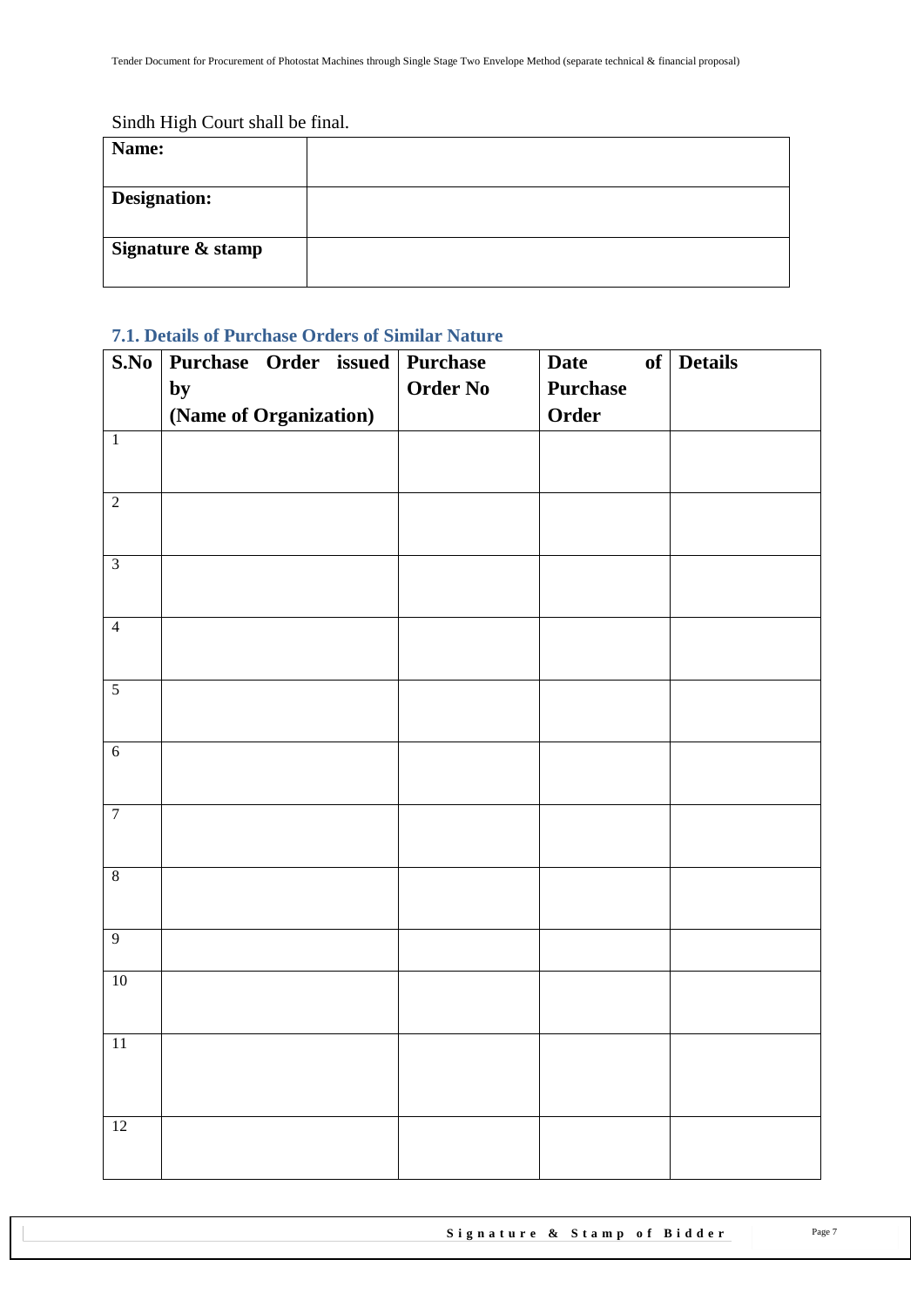## Sindh High Court shall be final.

| Name:               |  |
|---------------------|--|
| <b>Designation:</b> |  |
| Signature & stamp   |  |

## <span id="page-6-0"></span>**7.1. Details of Purchase Orders of Similar Nature**

| S.No            |                        |  | Purchase Order issued Purchase | <b>Date</b> | of Details |
|-----------------|------------------------|--|--------------------------------|-------------|------------|
|                 | by                     |  | <b>Order No</b>                | Purchase    |            |
|                 | (Name of Organization) |  |                                | Order       |            |
| $\overline{1}$  |                        |  |                                |             |            |
|                 |                        |  |                                |             |            |
| $\overline{2}$  |                        |  |                                |             |            |
|                 |                        |  |                                |             |            |
| $\overline{3}$  |                        |  |                                |             |            |
|                 |                        |  |                                |             |            |
| $\overline{4}$  |                        |  |                                |             |            |
|                 |                        |  |                                |             |            |
| $\overline{5}$  |                        |  |                                |             |            |
|                 |                        |  |                                |             |            |
| $\sqrt{6}$      |                        |  |                                |             |            |
|                 |                        |  |                                |             |            |
| $\overline{7}$  |                        |  |                                |             |            |
|                 |                        |  |                                |             |            |
| $\overline{8}$  |                        |  |                                |             |            |
|                 |                        |  |                                |             |            |
| $\overline{9}$  |                        |  |                                |             |            |
| $10\,$          |                        |  |                                |             |            |
|                 |                        |  |                                |             |            |
|                 |                        |  |                                |             |            |
| 11              |                        |  |                                |             |            |
|                 |                        |  |                                |             |            |
|                 |                        |  |                                |             |            |
| $\overline{12}$ |                        |  |                                |             |            |
|                 |                        |  |                                |             |            |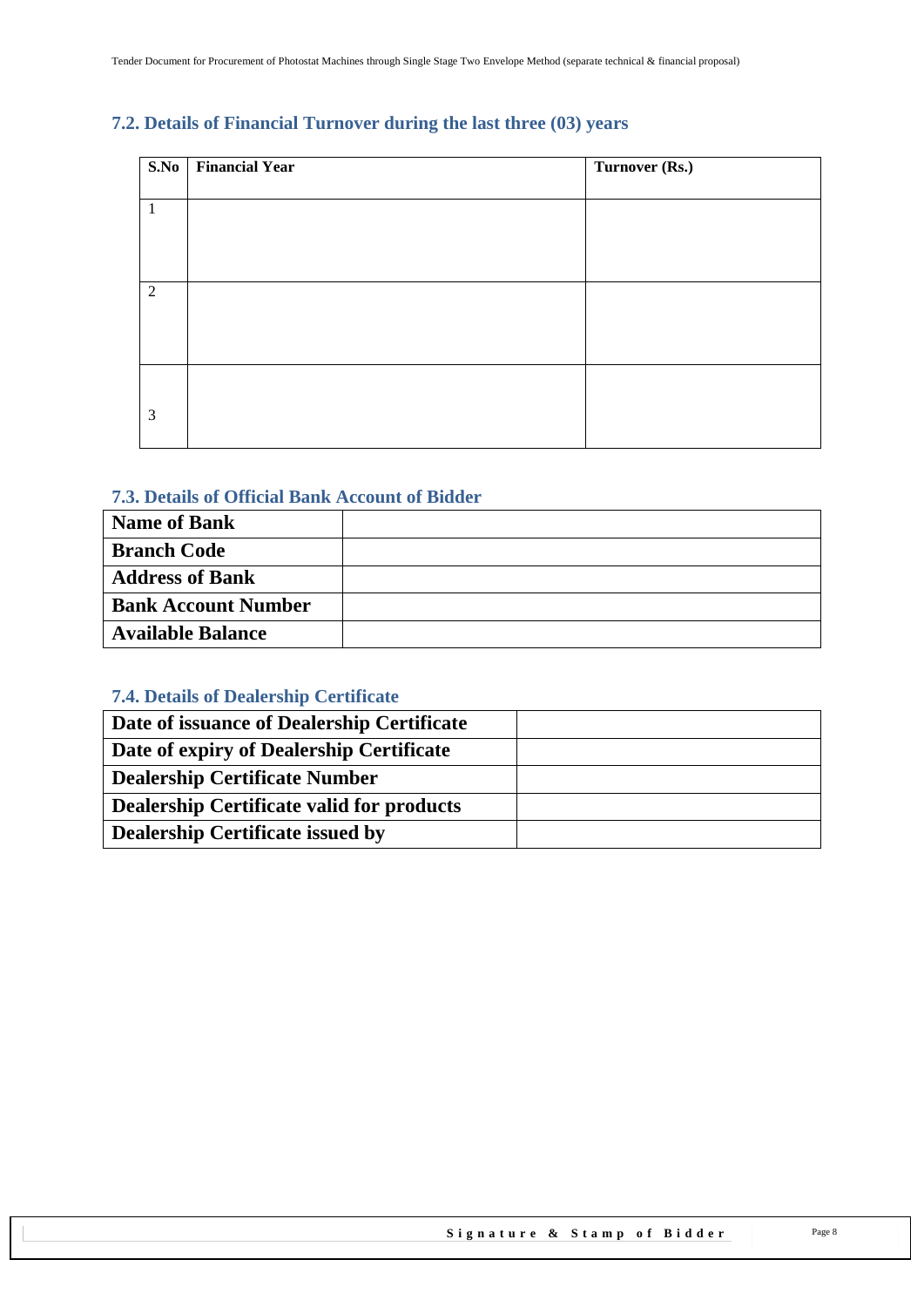## <span id="page-7-0"></span>**7.2. Details of Financial Turnover during the last three (03) years**

| S.No         | <b>Financial Year</b> | Turnover (Rs.) |
|--------------|-----------------------|----------------|
|              |                       |                |
| $\mathbf{1}$ |                       |                |
|              |                       |                |
|              |                       |                |
|              |                       |                |
| 2            |                       |                |
|              |                       |                |
|              |                       |                |
|              |                       |                |
|              |                       |                |
|              |                       |                |
| 3            |                       |                |
|              |                       |                |

#### <span id="page-7-1"></span>**7.3. Details of Official Bank Account of Bidder**

| <b>Name of Bank</b>        |  |
|----------------------------|--|
| <b>Branch Code</b>         |  |
| <b>Address of Bank</b>     |  |
| <b>Bank Account Number</b> |  |
| <b>Available Balance</b>   |  |

## <span id="page-7-2"></span>**7.4. Details of Dealership Certificate**

| Date of issuance of Dealership Certificate |  |
|--------------------------------------------|--|
| Date of expiry of Dealership Certificate   |  |
| <b>Dealership Certificate Number</b>       |  |
| Dealership Certificate valid for products  |  |
| <b>Dealership Certificate issued by</b>    |  |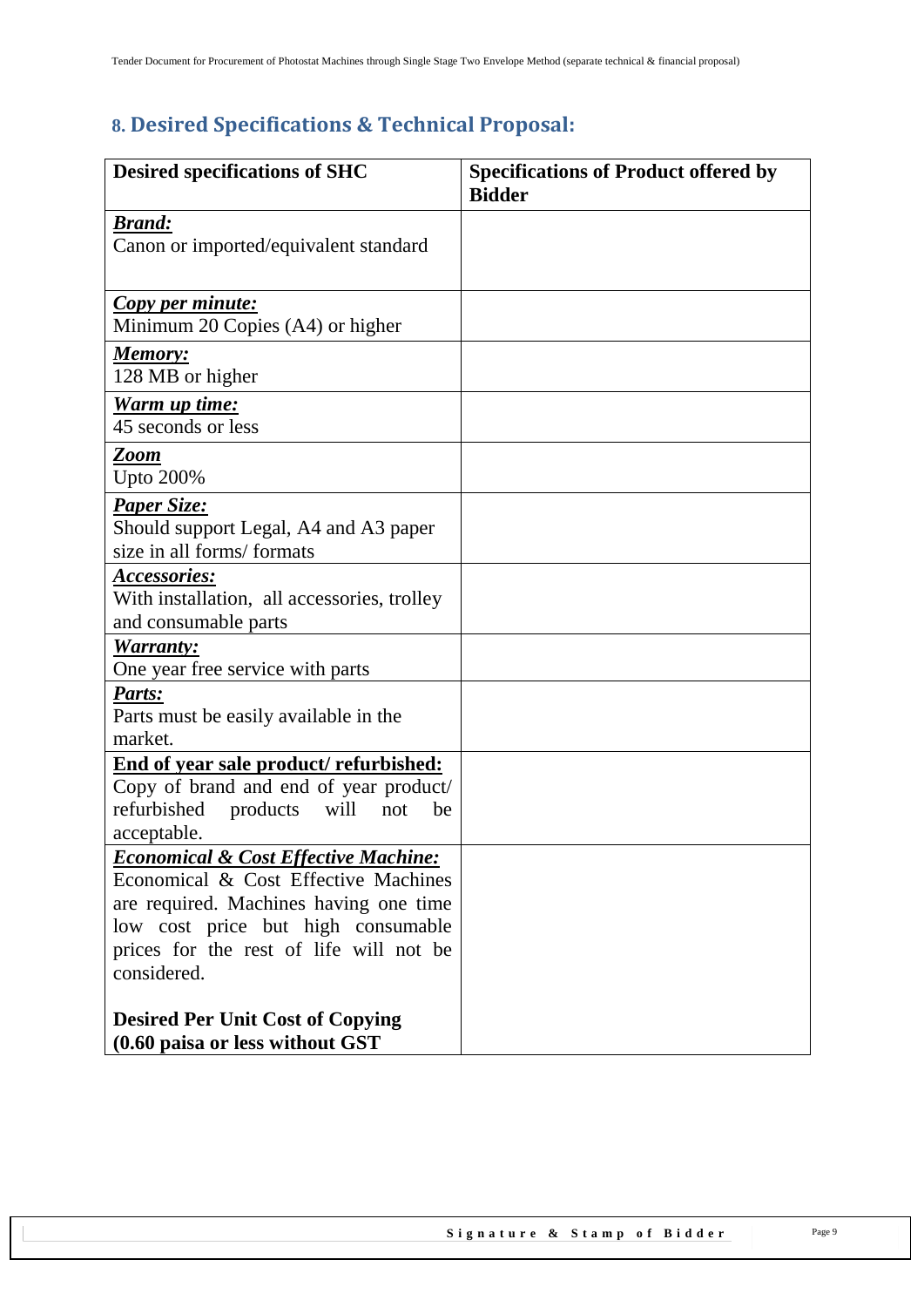# <span id="page-8-0"></span>**8. Desired Specifications & Technical Proposal:**

| <b>Desired specifications of SHC</b>                                          | <b>Specifications of Product offered by</b><br><b>Bidder</b> |
|-------------------------------------------------------------------------------|--------------------------------------------------------------|
| <u>Brand:</u>                                                                 |                                                              |
| Canon or imported/equivalent standard                                         |                                                              |
|                                                                               |                                                              |
| Copy per minute:<br>Minimum 20 Copies (A4) or higher                          |                                                              |
| Memory:                                                                       |                                                              |
| 128 MB or higher                                                              |                                                              |
| Warm up time:                                                                 |                                                              |
| 45 seconds or less                                                            |                                                              |
| Zoom                                                                          |                                                              |
| <b>Upto 200%</b>                                                              |                                                              |
| <b>Paper Size:</b>                                                            |                                                              |
| Should support Legal, A4 and A3 paper<br>size in all forms/formats            |                                                              |
| <u>Accessories:</u>                                                           |                                                              |
| With installation, all accessories, trolley                                   |                                                              |
| and consumable parts                                                          |                                                              |
| Warranty:                                                                     |                                                              |
| One year free service with parts                                              |                                                              |
| Parts:                                                                        |                                                              |
| Parts must be easily available in the<br>market.                              |                                                              |
| End of year sale product/ refurbished:                                        |                                                              |
| Copy of brand and end of year product/                                        |                                                              |
| refurbished<br>will<br>products<br>not<br>be                                  |                                                              |
| acceptable.                                                                   |                                                              |
| <b>Economical &amp; Cost Effective Machine:</b>                               |                                                              |
| Economical & Cost Effective Machines                                          |                                                              |
| are required. Machines having one time                                        |                                                              |
| low cost price but high consumable<br>prices for the rest of life will not be |                                                              |
| considered.                                                                   |                                                              |
|                                                                               |                                                              |
| <b>Desired Per Unit Cost of Copying</b>                                       |                                                              |
| (0.60 paisa or less without GST                                               |                                                              |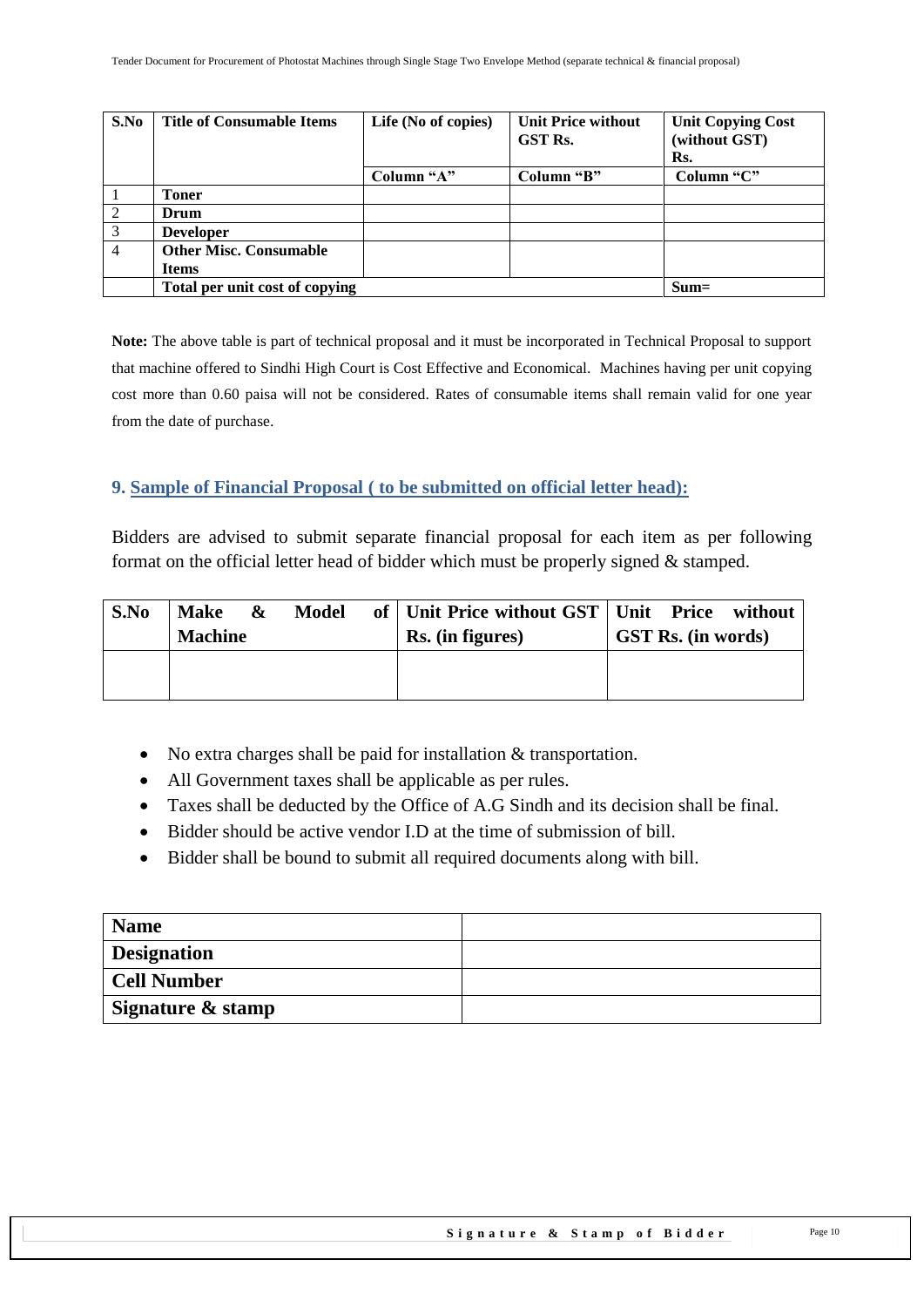| S.No           | <b>Title of Consumable Items</b> | Life (No of copies) | <b>Unit Price without</b><br><b>GST Rs.</b> | <b>Unit Copying Cost</b><br>(without GST) |
|----------------|----------------------------------|---------------------|---------------------------------------------|-------------------------------------------|
|                |                                  |                     |                                             | Rs.                                       |
|                |                                  | Column "A"          | Column "B"                                  | Column "C"                                |
|                | <b>Toner</b>                     |                     |                                             |                                           |
| 2              | Drum                             |                     |                                             |                                           |
| 3              | <b>Developer</b>                 |                     |                                             |                                           |
| $\overline{4}$ | <b>Other Misc. Consumable</b>    |                     |                                             |                                           |
|                | <b>Items</b>                     |                     |                                             |                                           |
|                | Total per unit cost of copying   |                     |                                             | $Sum =$                                   |

**Note:** The above table is part of technical proposal and it must be incorporated in Technical Proposal to support that machine offered to Sindhi High Court is Cost Effective and Economical. Machines having per unit copying cost more than 0.60 paisa will not be considered. Rates of consumable items shall remain valid for one year from the date of purchase.

#### <span id="page-9-0"></span>**9. Sample of Financial Proposal ( to be submitted on official letter head):**

Bidders are advised to submit separate financial proposal for each item as per following format on the official letter head of bidder which must be properly signed & stamped.

| S.No | <b>Make</b>    | & | Model | of   Unit Price without GST   Unit Price without |                           |
|------|----------------|---|-------|--------------------------------------------------|---------------------------|
|      | <b>Machine</b> |   |       | Rs. (in figures)                                 | <b>GST Rs.</b> (in words) |
|      |                |   |       |                                                  |                           |
|      |                |   |       |                                                  |                           |

- No extra charges shall be paid for installation & transportation.
- All Government taxes shall be applicable as per rules.
- Taxes shall be deducted by the Office of A.G Sindh and its decision shall be final.
- Bidder should be active vendor I.D at the time of submission of bill.
- Bidder shall be bound to submit all required documents along with bill.

| <b>Name</b>        |  |
|--------------------|--|
| <b>Designation</b> |  |
| Cell Number        |  |
| Signature & stamp  |  |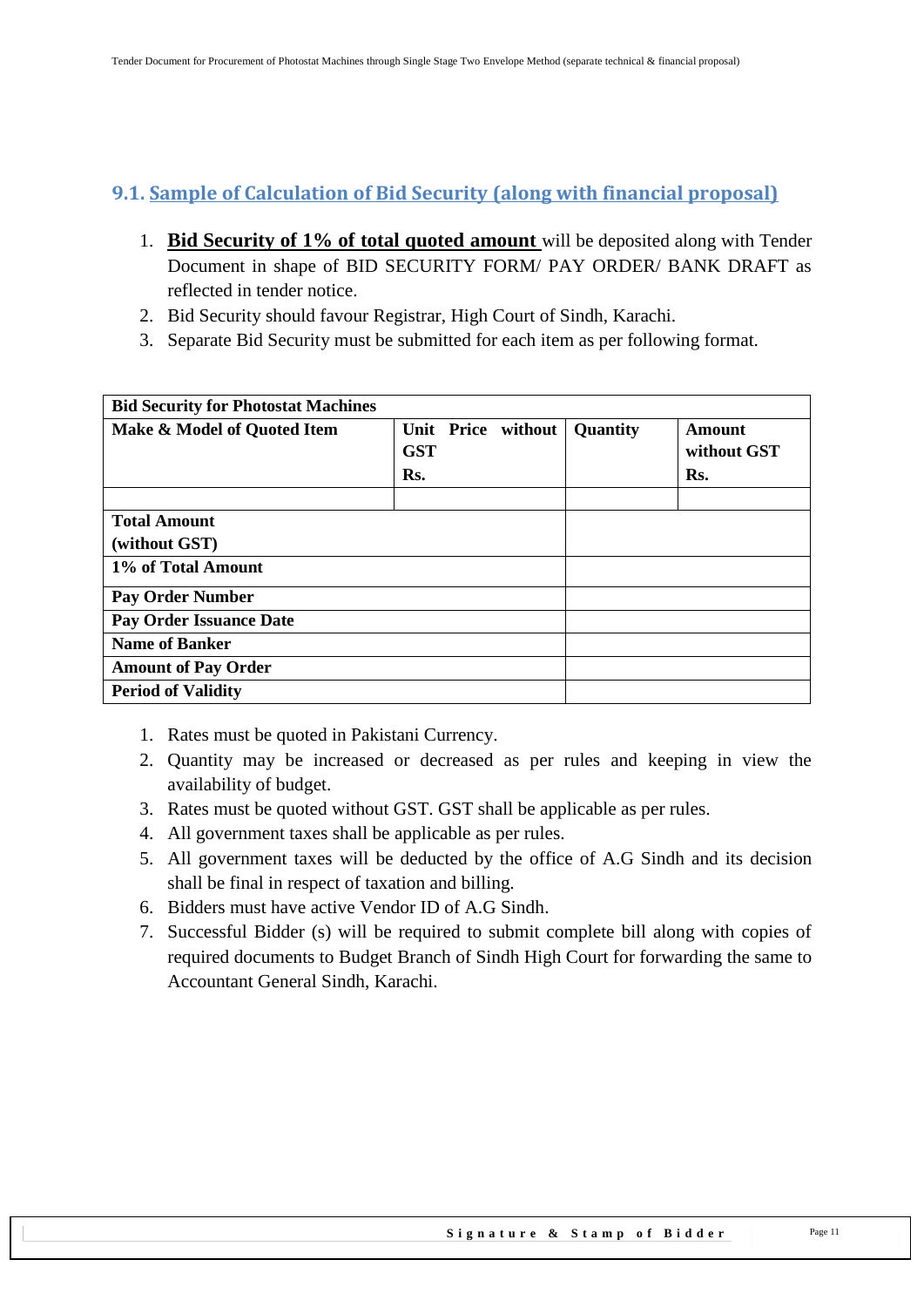## <span id="page-10-0"></span>**9.1. Sample of Calculation of Bid Security (along with financial proposal)**

- 1. **Bid Security of 1% of total quoted amount** will be deposited along with Tender Document in shape of BID SECURITY FORM/ PAY ORDER/ BANK DRAFT as reflected in tender notice.
- 2. Bid Security should favour Registrar, High Court of Sindh, Karachi.
- 3. Separate Bid Security must be submitted for each item as per following format.

| <b>Bid Security for Photostat Machines</b> |                    |          |             |
|--------------------------------------------|--------------------|----------|-------------|
| Make & Model of Quoted Item                | Unit Price without | Quantity | Amount      |
|                                            | <b>GST</b>         |          | without GST |
|                                            | Rs.                |          | Rs.         |
|                                            |                    |          |             |
| <b>Total Amount</b>                        |                    |          |             |
| (without GST)                              |                    |          |             |
| 1% of Total Amount                         |                    |          |             |
| <b>Pay Order Number</b>                    |                    |          |             |
| <b>Pay Order Issuance Date</b>             |                    |          |             |
| <b>Name of Banker</b>                      |                    |          |             |
| <b>Amount of Pay Order</b>                 |                    |          |             |
| <b>Period of Validity</b>                  |                    |          |             |

- 1. Rates must be quoted in Pakistani Currency.
- 2. Quantity may be increased or decreased as per rules and keeping in view the availability of budget.
- 3. Rates must be quoted without GST. GST shall be applicable as per rules.
- 4. All government taxes shall be applicable as per rules.
- 5. All government taxes will be deducted by the office of A.G Sindh and its decision shall be final in respect of taxation and billing.
- 6. Bidders must have active Vendor ID of A.G Sindh.
- 7. Successful Bidder (s) will be required to submit complete bill along with copies of required documents to Budget Branch of Sindh High Court for forwarding the same to Accountant General Sindh, Karachi.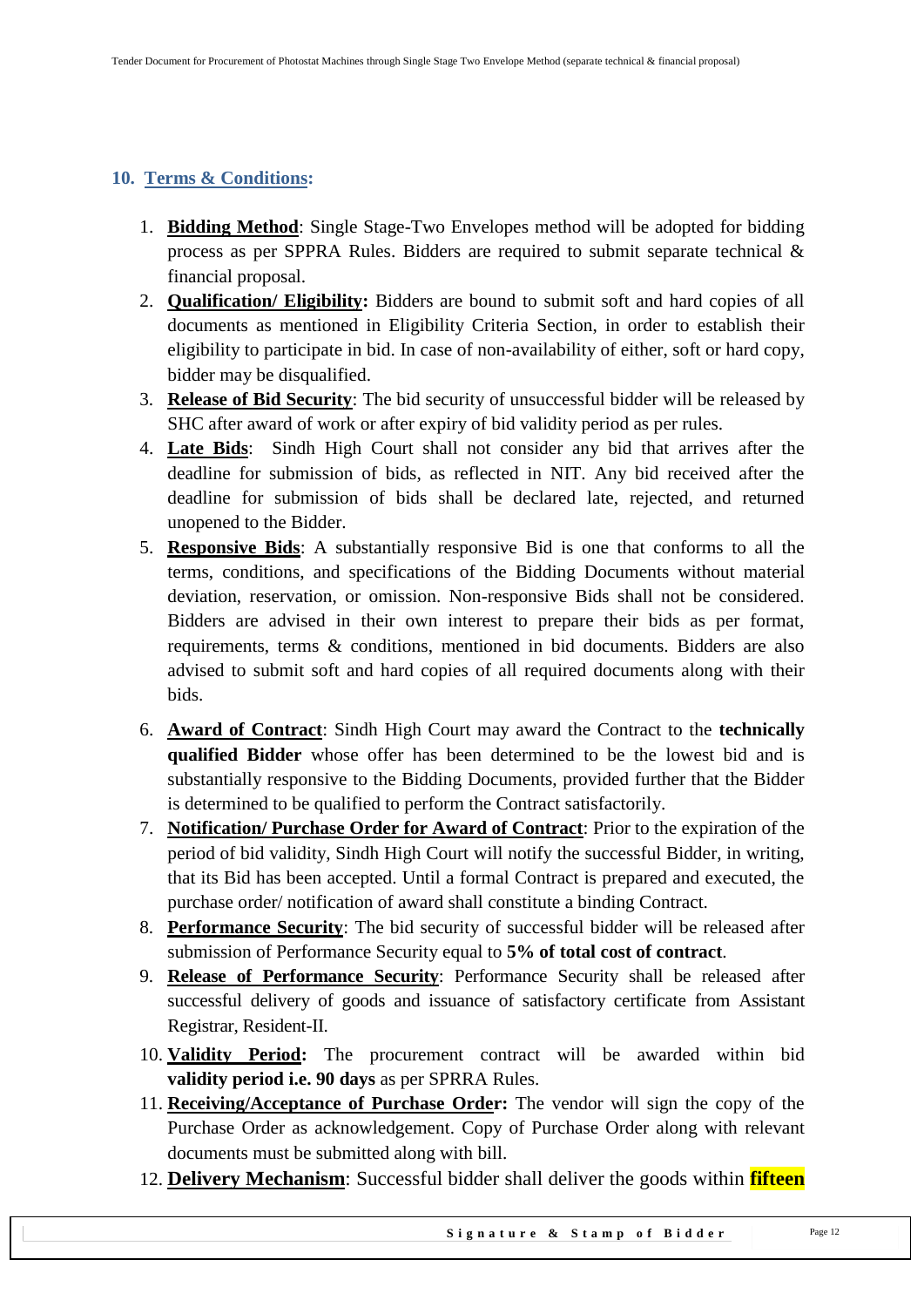## <span id="page-11-0"></span>**10. Terms & Conditions:**

- 1. **Bidding Method**: Single Stage-Two Envelopes method will be adopted for bidding process as per SPPRA Rules. Bidders are required to submit separate technical & financial proposal.
- 2. **Qualification/ Eligibility:** Bidders are bound to submit soft and hard copies of all documents as mentioned in Eligibility Criteria Section, in order to establish their eligibility to participate in bid. In case of non-availability of either, soft or hard copy, bidder may be disqualified.
- 3. **Release of Bid Security**: The bid security of unsuccessful bidder will be released by SHC after award of work or after expiry of bid validity period as per rules.
- 4. **Late Bids**: Sindh High Court shall not consider any bid that arrives after the deadline for submission of bids, as reflected in NIT. Any bid received after the deadline for submission of bids shall be declared late, rejected, and returned unopened to the Bidder.
- 5. **Responsive Bids**: A substantially responsive Bid is one that conforms to all the terms, conditions, and specifications of the Bidding Documents without material deviation, reservation, or omission. Non-responsive Bids shall not be considered. Bidders are advised in their own interest to prepare their bids as per format, requirements, terms & conditions, mentioned in bid documents. Bidders are also advised to submit soft and hard copies of all required documents along with their bids.
- 6. **Award of Contract**: Sindh High Court may award the Contract to the **technically qualified Bidder** whose offer has been determined to be the lowest bid and is substantially responsive to the Bidding Documents, provided further that the Bidder is determined to be qualified to perform the Contract satisfactorily.
- 7. **Notification/ Purchase Order for Award of Contract**: Prior to the expiration of the period of bid validity, Sindh High Court will notify the successful Bidder, in writing, that its Bid has been accepted. Until a formal Contract is prepared and executed, the purchase order/ notification of award shall constitute a binding Contract.
- 8. **Performance Security**: The bid security of successful bidder will be released after submission of Performance Security equal to **5% of total cost of contract**.
- 9. **Release of Performance Security**: Performance Security shall be released after successful delivery of goods and issuance of satisfactory certificate from Assistant Registrar, Resident-II.
- 10. **Validity Period:** The procurement contract will be awarded within bid **validity period i.e. 90 days** as per SPRRA Rules.
- 11. **Receiving/Acceptance of Purchase Order:** The vendor will sign the copy of the Purchase Order as acknowledgement. Copy of Purchase Order along with relevant documents must be submitted along with bill.
- 12. **Delivery Mechanism**: Successful bidder shall deliver the goods within **fifteen**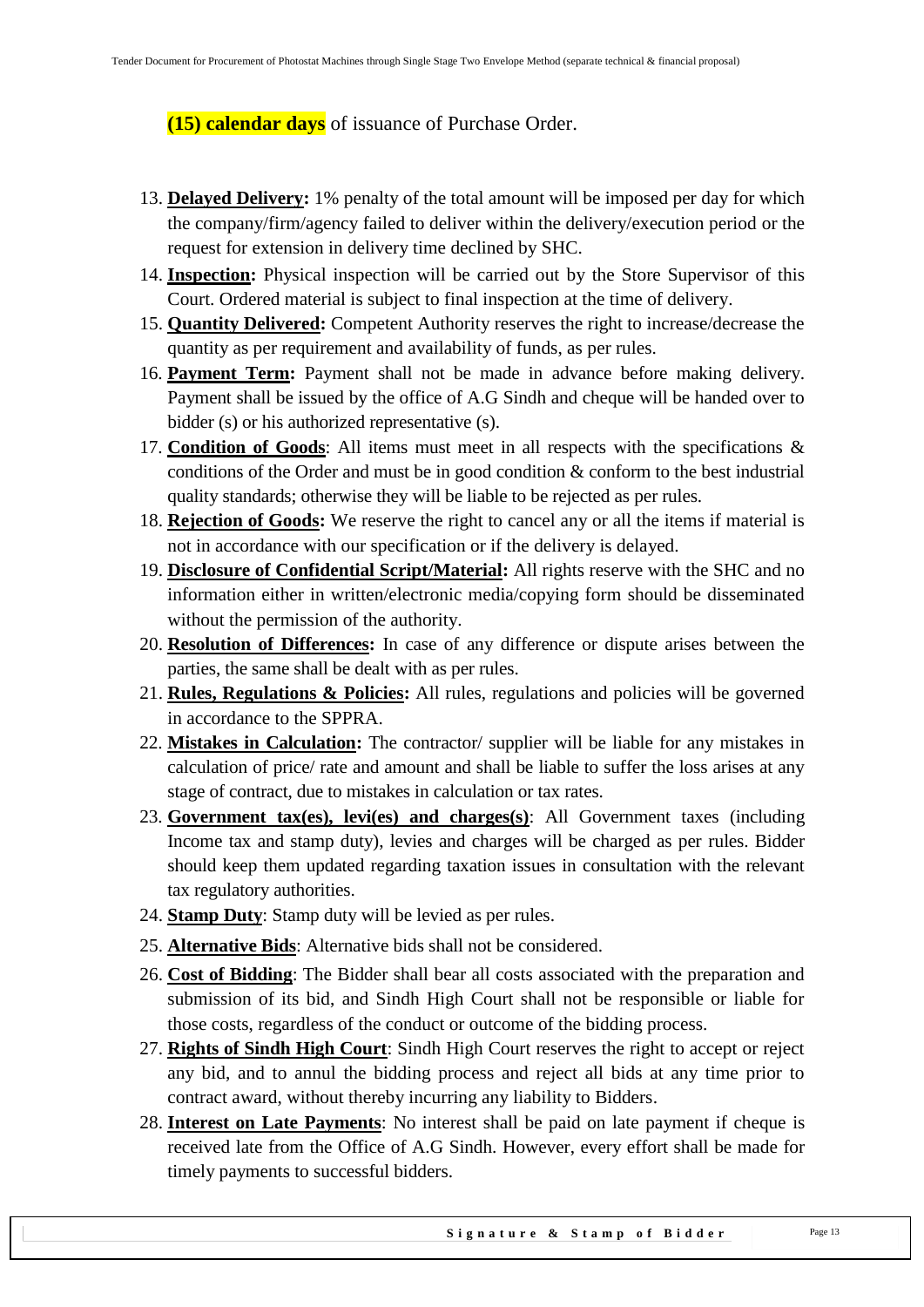## **(15) calendar days** of issuance of Purchase Order.

- 13. **Delayed Delivery:** 1% penalty of the total amount will be imposed per day for which the company/firm/agency failed to deliver within the delivery/execution period or the request for extension in delivery time declined by SHC.
- 14. **Inspection:** Physical inspection will be carried out by the Store Supervisor of this Court. Ordered material is subject to final inspection at the time of delivery.
- 15. **Quantity Delivered:** Competent Authority reserves the right to increase/decrease the quantity as per requirement and availability of funds, as per rules.
- 16. **Payment Term:** Payment shall not be made in advance before making delivery. Payment shall be issued by the office of A.G Sindh and cheque will be handed over to bidder (s) or his authorized representative (s).
- 17. **Condition of Goods**: All items must meet in all respects with the specifications & conditions of the Order and must be in good condition & conform to the best industrial quality standards; otherwise they will be liable to be rejected as per rules.
- 18. **Rejection of Goods:** We reserve the right to cancel any or all the items if material is not in accordance with our specification or if the delivery is delayed.
- 19. **Disclosure of Confidential Script/Material:** All rights reserve with the SHC and no information either in written/electronic media/copying form should be disseminated without the permission of the authority.
- 20. **Resolution of Differences:** In case of any difference or dispute arises between the parties, the same shall be dealt with as per rules.
- 21. **Rules, Regulations & Policies:** All rules, regulations and policies will be governed in accordance to the SPPRA.
- 22. **Mistakes in Calculation:** The contractor/ supplier will be liable for any mistakes in calculation of price/ rate and amount and shall be liable to suffer the loss arises at any stage of contract, due to mistakes in calculation or tax rates.
- 23. **Government tax(es), levi(es) and charges(s)**: All Government taxes (including Income tax and stamp duty), levies and charges will be charged as per rules. Bidder should keep them updated regarding taxation issues in consultation with the relevant tax regulatory authorities.
- 24. **Stamp Duty**: Stamp duty will be levied as per rules.
- 25. **Alternative Bids**: Alternative bids shall not be considered.
- 26. **Cost of Bidding**: The Bidder shall bear all costs associated with the preparation and submission of its bid, and Sindh High Court shall not be responsible or liable for those costs, regardless of the conduct or outcome of the bidding process.
- 27. **Rights of Sindh High Court**: Sindh High Court reserves the right to accept or reject any bid, and to annul the bidding process and reject all bids at any time prior to contract award, without thereby incurring any liability to Bidders.
- 28. **Interest on Late Payments**: No interest shall be paid on late payment if cheque is received late from the Office of A.G Sindh. However, every effort shall be made for timely payments to successful bidders.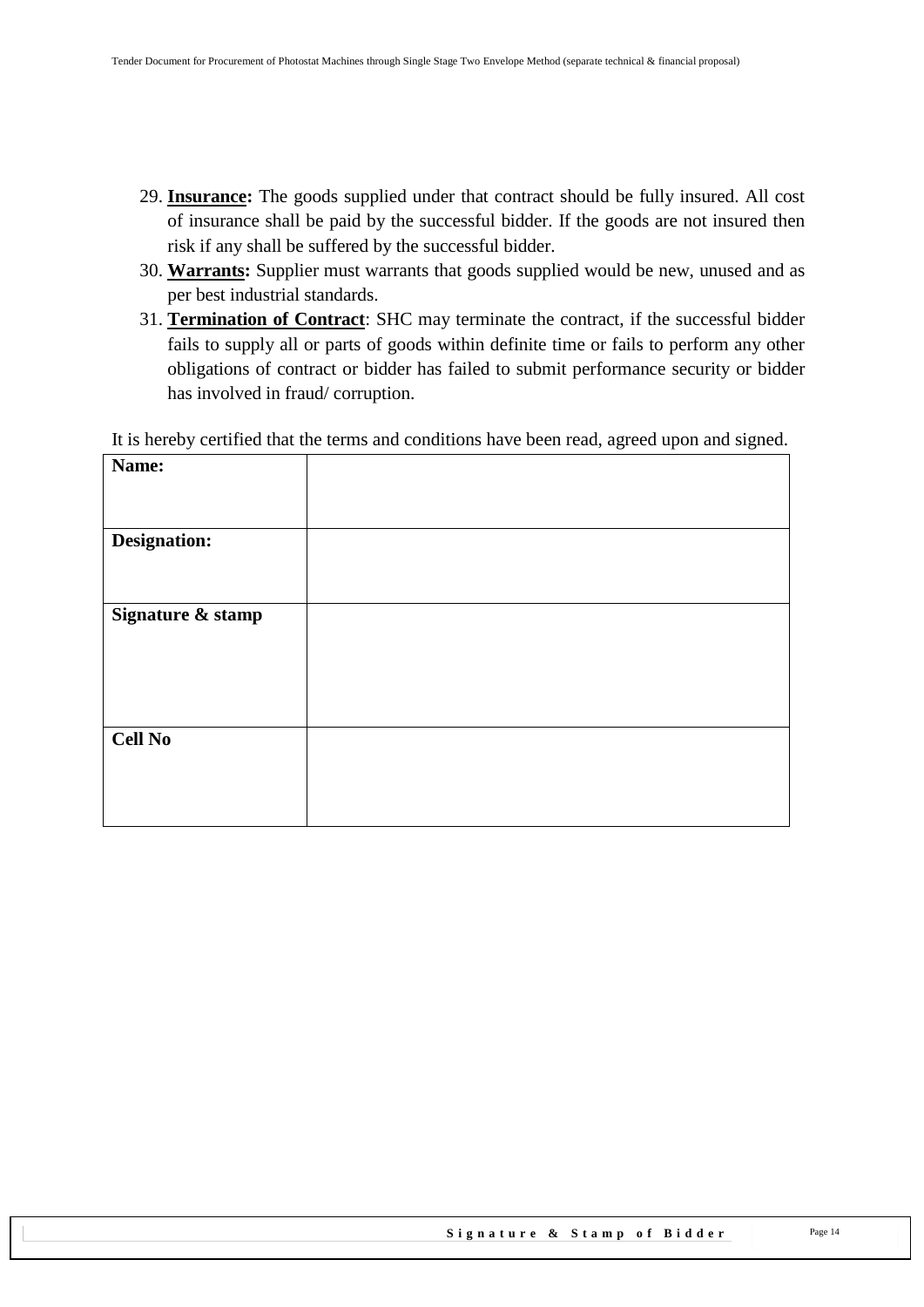- 29. **Insurance:** The goods supplied under that contract should be fully insured. All cost of insurance shall be paid by the successful bidder. If the goods are not insured then risk if any shall be suffered by the successful bidder.
- 30. **Warrants:** Supplier must warrants that goods supplied would be new, unused and as per best industrial standards.
- 31. **Termination of Contract**: SHC may terminate the contract, if the successful bidder fails to supply all or parts of goods within definite time or fails to perform any other obligations of contract or bidder has failed to submit performance security or bidder has involved in fraud/ corruption.

It is hereby certified that the terms and conditions have been read, agreed upon and signed.

| Name:             |  |
|-------------------|--|
|                   |  |
|                   |  |
| Designation:      |  |
|                   |  |
| Signature & stamp |  |
|                   |  |
|                   |  |
|                   |  |
|                   |  |
|                   |  |
| <b>Cell No</b>    |  |
|                   |  |
|                   |  |
|                   |  |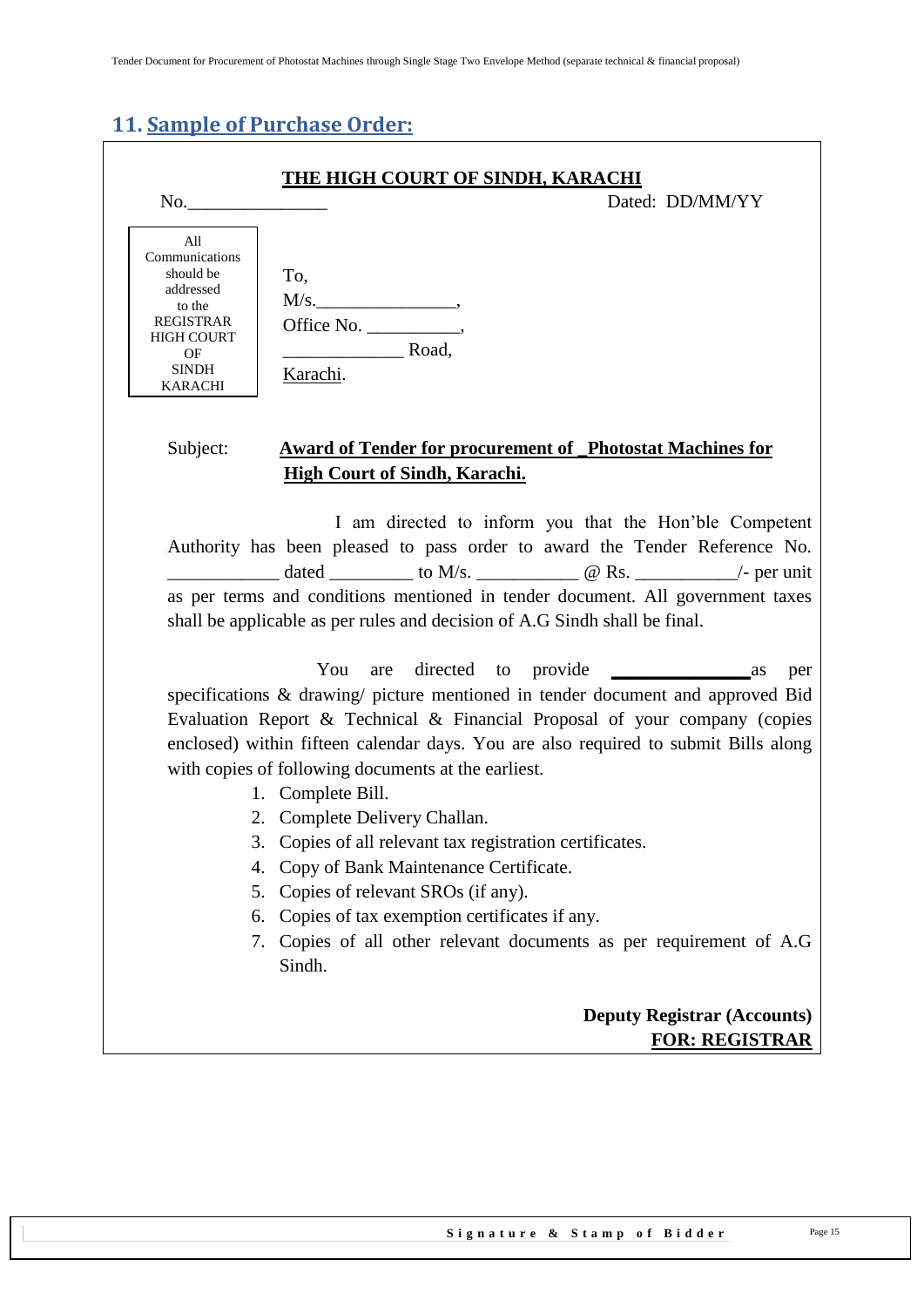## <span id="page-14-0"></span>**11. Sample of Purchase Order:**

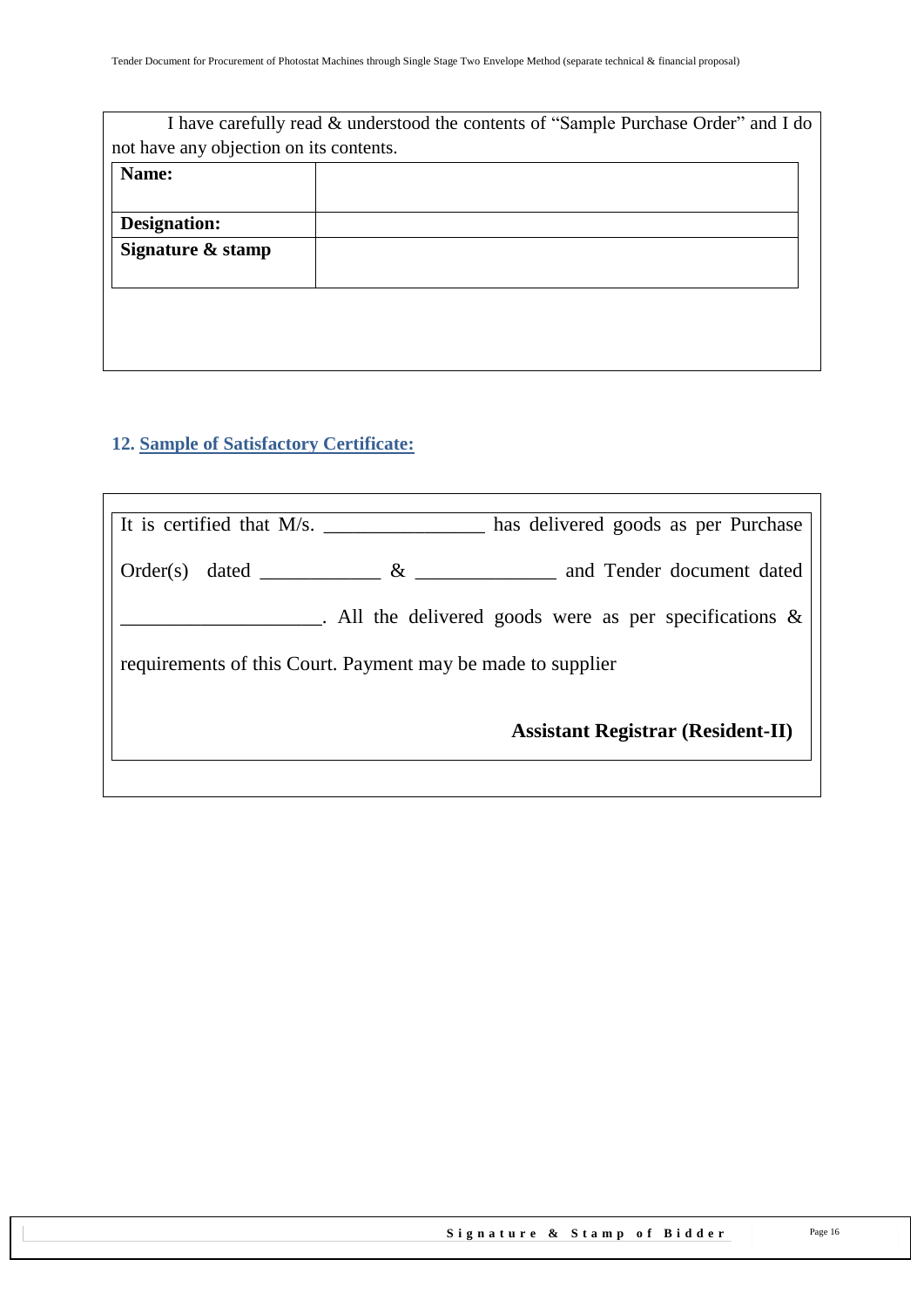|                                         | I have carefully read & understood the contents of "Sample Purchase Order" and I do |
|-----------------------------------------|-------------------------------------------------------------------------------------|
| not have any objection on its contents. |                                                                                     |
| Name:                                   |                                                                                     |
|                                         |                                                                                     |
| Designation:                            |                                                                                     |
| Signature & stamp                       |                                                                                     |
|                                         |                                                                                     |
|                                         |                                                                                     |
|                                         |                                                                                     |
|                                         |                                                                                     |

## <span id="page-15-0"></span>**12. Sample of Satisfactory Certificate:**

| It is certified that M/s.                                   | has delivered goods as per Purchase                       |
|-------------------------------------------------------------|-----------------------------------------------------------|
| $\&$<br>$Order(s)$ dated $\qquad \qquad$                    | and Tender document dated                                 |
|                                                             | . All the delivered goods were as per specifications $\&$ |
| requirements of this Court. Payment may be made to supplier |                                                           |
|                                                             | <b>Assistant Registrar (Resident-II)</b>                  |
|                                                             |                                                           |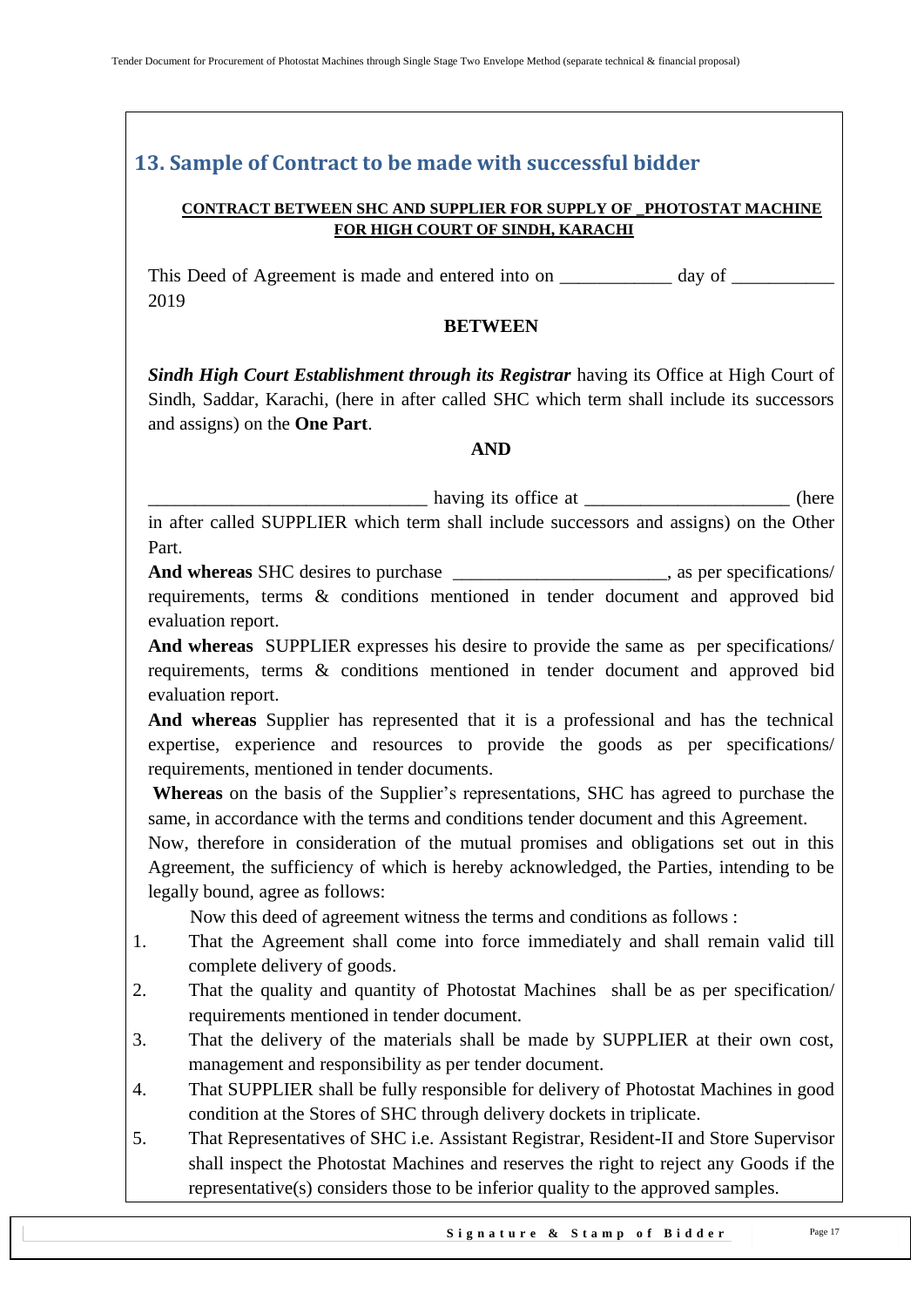## <span id="page-16-0"></span>**13. Sample of Contract to be made with successful bidder**

#### **CONTRACT BETWEEN SHC AND SUPPLIER FOR SUPPLY OF \_PHOTOSTAT MACHINE FOR HIGH COURT OF SINDH, KARACHI**

This Deed of Agreement is made and entered into on \_\_\_\_\_\_\_\_\_\_\_\_ day of \_\_\_\_\_\_\_\_\_\_ 2019

#### **BETWEEN**

*Sindh High Court Establishment through its Registrar having its Office at High Court of* Sindh, Saddar, Karachi, (here in after called SHC which term shall include its successors and assigns) on the **One Part**.

#### **AND**

\_\_\_\_\_\_\_\_\_\_\_\_\_\_\_\_\_\_\_\_\_\_\_\_\_\_\_\_\_\_ having its office at \_\_\_\_\_\_\_\_\_\_\_\_\_\_\_\_\_\_\_\_\_\_ (here

in after called SUPPLIER which term shall include successors and assigns) on the Other Part.

**And whereas** SHC desires to purchase \_\_\_\_\_\_\_\_\_\_\_\_\_\_\_\_\_\_\_\_\_\_\_, as per specifications/ requirements, terms & conditions mentioned in tender document and approved bid evaluation report.

**And whereas** SUPPLIER expresses his desire to provide the same as per specifications/ requirements, terms & conditions mentioned in tender document and approved bid evaluation report.

**And whereas** Supplier has represented that it is a professional and has the technical expertise, experience and resources to provide the goods as per specifications/ requirements, mentioned in tender documents.

**Whereas** on the basis of the Supplier"s representations, SHC has agreed to purchase the same, in accordance with the terms and conditions tender document and this Agreement.

Now, therefore in consideration of the mutual promises and obligations set out in this Agreement, the sufficiency of which is hereby acknowledged, the Parties, intending to be legally bound, agree as follows:

Now this deed of agreement witness the terms and conditions as follows :

- 1. That the Agreement shall come into force immediately and shall remain valid till complete delivery of goods.
- 2. That the quality and quantity of Photostat Machines shall be as per specification/ requirements mentioned in tender document.
- 3. That the delivery of the materials shall be made by SUPPLIER at their own cost, management and responsibility as per tender document.
- 4. That SUPPLIER shall be fully responsible for delivery of Photostat Machines in good condition at the Stores of SHC through delivery dockets in triplicate.
- 5. That Representatives of SHC i.e. Assistant Registrar, Resident-II and Store Supervisor shall inspect the Photostat Machines and reserves the right to reject any Goods if the representative(s) considers those to be inferior quality to the approved samples.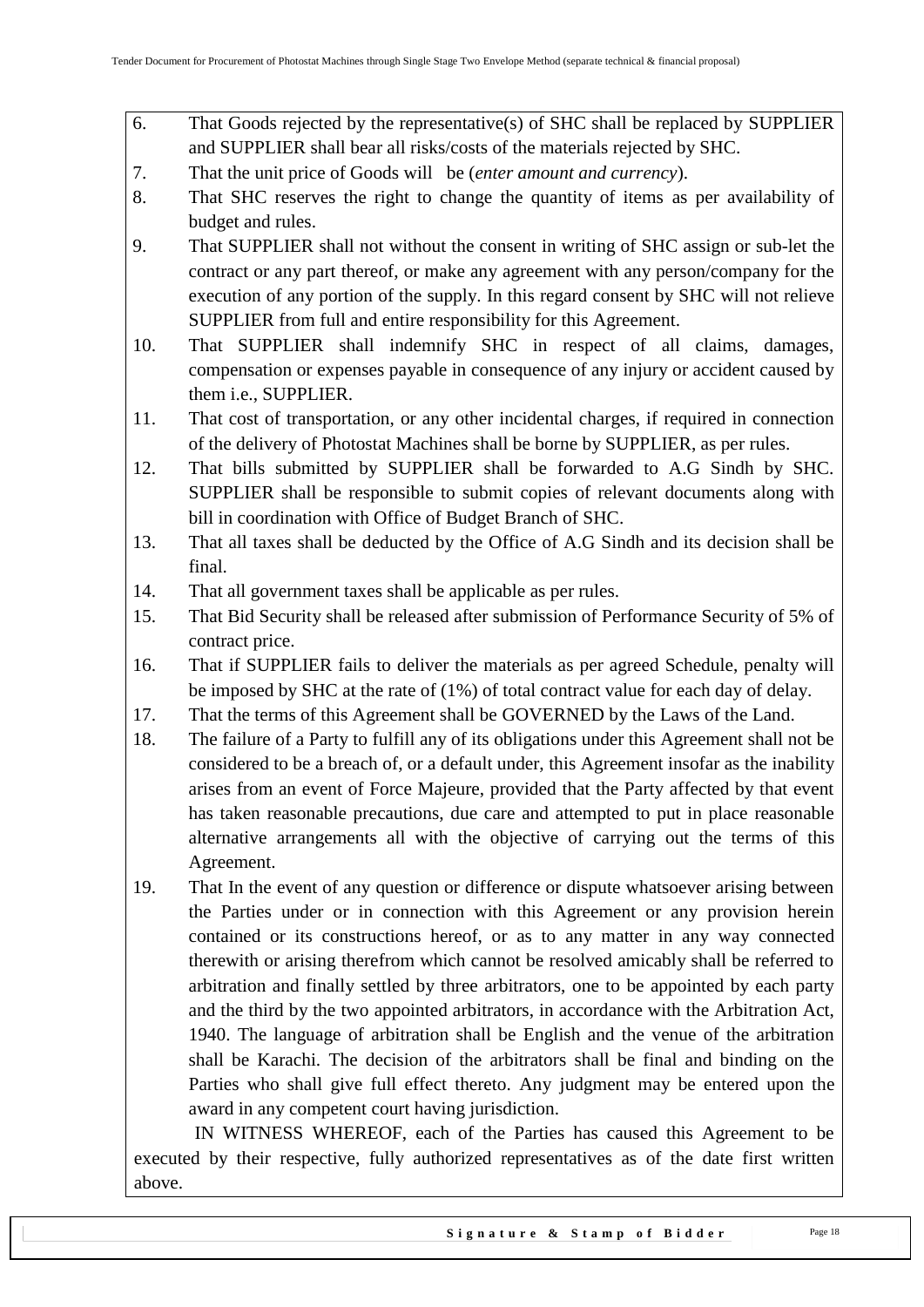- 6. That Goods rejected by the representative(s) of SHC shall be replaced by SUPPLIER and SUPPLIER shall bear all risks/costs of the materials rejected by SHC.
- 7. That the unit price of Goods will be (*enter amount and currency*).
- 8. That SHC reserves the right to change the quantity of items as per availability of budget and rules.
- 9. That SUPPLIER shall not without the consent in writing of SHC assign or sub-let the contract or any part thereof, or make any agreement with any person/company for the execution of any portion of the supply. In this regard consent by SHC will not relieve SUPPLIER from full and entire responsibility for this Agreement.
- 10. That SUPPLIER shall indemnify SHC in respect of all claims, damages, compensation or expenses payable in consequence of any injury or accident caused by them i.e., SUPPLIER.
- 11. That cost of transportation, or any other incidental charges, if required in connection of the delivery of Photostat Machines shall be borne by SUPPLIER, as per rules.
- 12. That bills submitted by SUPPLIER shall be forwarded to A.G Sindh by SHC. SUPPLIER shall be responsible to submit copies of relevant documents along with bill in coordination with Office of Budget Branch of SHC.
- 13. That all taxes shall be deducted by the Office of A.G Sindh and its decision shall be final.
- 14. That all government taxes shall be applicable as per rules.
- 15. That Bid Security shall be released after submission of Performance Security of 5% of contract price.
- 16. That if SUPPLIER fails to deliver the materials as per agreed Schedule, penalty will be imposed by SHC at the rate of (1%) of total contract value for each day of delay.
- 17. That the terms of this Agreement shall be GOVERNED by the Laws of the Land.
- 18. The failure of a Party to fulfill any of its obligations under this Agreement shall not be considered to be a breach of, or a default under, this Agreement insofar as the inability arises from an event of Force Majeure, provided that the Party affected by that event has taken reasonable precautions, due care and attempted to put in place reasonable alternative arrangements all with the objective of carrying out the terms of this Agreement.
- 19. That In the event of any question or difference or dispute whatsoever arising between the Parties under or in connection with this Agreement or any provision herein contained or its constructions hereof, or as to any matter in any way connected therewith or arising therefrom which cannot be resolved amicably shall be referred to arbitration and finally settled by three arbitrators, one to be appointed by each party and the third by the two appointed arbitrators, in accordance with the Arbitration Act, 1940. The language of arbitration shall be English and the venue of the arbitration shall be Karachi. The decision of the arbitrators shall be final and binding on the Parties who shall give full effect thereto. Any judgment may be entered upon the award in any competent court having jurisdiction.

 IN WITNESS WHEREOF, each of the Parties has caused this Agreement to be executed by their respective, fully authorized representatives as of the date first written above.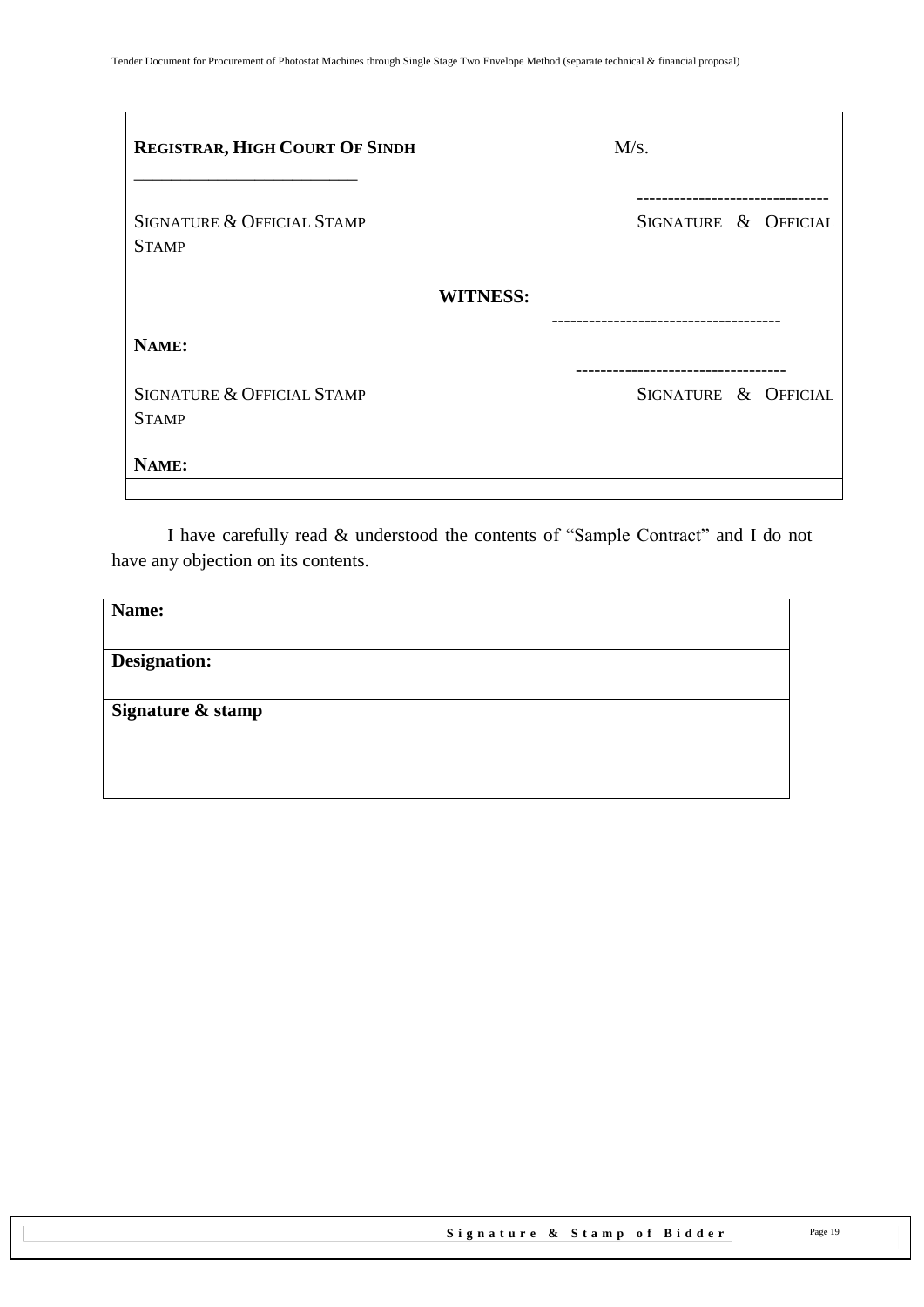| REGISTRAR, HIGH COURT OF SINDH             | M/s.                                            |
|--------------------------------------------|-------------------------------------------------|
| SIGNATURE & OFFICIAL STAMP<br><b>STAMP</b> | SIGNATURE & OFFICIAL                            |
|                                            | <b>WITNESS:</b>                                 |
| NAME:                                      |                                                 |
| SIGNATURE & OFFICIAL STAMP<br><b>STAMP</b> | -----------------------<br>SIGNATURE & OFFICIAL |
| NAME:                                      |                                                 |

I have carefully read & understood the contents of "Sample Contract" and I do not have any objection on its contents.

| Name:               |  |
|---------------------|--|
|                     |  |
| <b>Designation:</b> |  |
|                     |  |
| Signature & stamp   |  |
|                     |  |
|                     |  |
|                     |  |